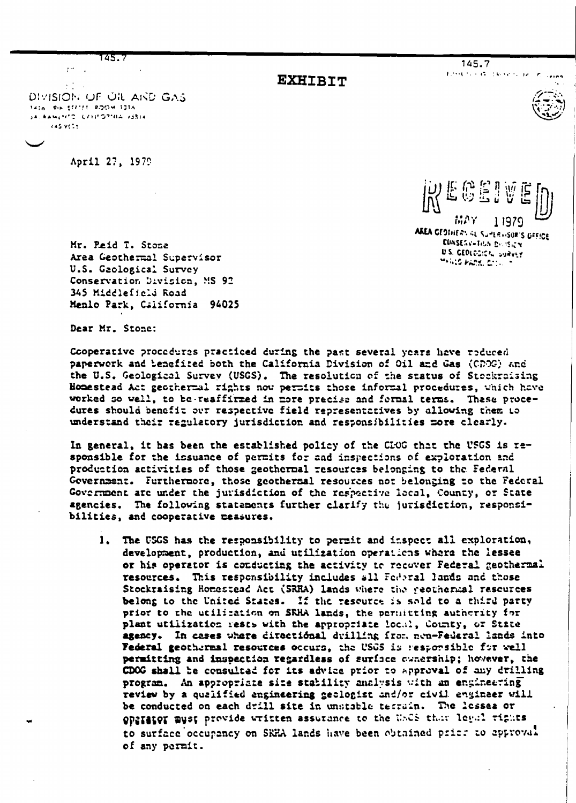745. 7

145.7

**EXHIBIT** 

Editor for God Research and

DIVISION OF OIL AND GAS TAIN PIN STETEL ROOM 1016 JA KAMENTO CZESTOPISA ZJSIA kas vets

 $\mathbf{r}^{(1)}$ 

April 27, 1979

品产了 11979 AREA CEDINERS AL SUPERVISOR'S DEFICE **CONSESV-TIGN DIVISION U.S. GEOLOGICAL SURVEY** 

MAND PAPEL COLLECT

Mr. Peid T. Stone Area Geothermal Supervisor U.S. Gaological Survey Conservation Division, MS 92 345 Middleficld Road Menlo Park, California 94025

Dear Mr. Stone:

Cooperative procedures practiced during the past several years have reduced paperwork and benefited both the California Division of Oil and Gas (CDOG) and the U.S. Geological Survey (USGS). The resolution of the status of Stockraising Homestead Act geothermal rights now permits those informal procedures, which have worked so well, to be-reaffirmed in more precise and formal terms. These procedures should benefit our respective field representatives by allowing them to understand their regulatory jurisdiction and responsibilities more clearly.

In general, it has been the established policy of the CEOG that the USGS is responsible for the issuance of permits for and inspections of exploration and production activities of those geothernal resources belonging to the Federal Government. Furthermore, those geothermal resources not belonging to the Federal Government are under the jurisdiction of the respective local, County, or State agencies. The following statements further clarify the jurisdiction, responsibilities, and cooperative measures.

1. The USGS has the responsibility to permit and inspect all exploration, development, production, and utilization operations where the lessee or his operator is conducting the activity to recover Federal geothermal resources. This responsibility includes all Foderal lands and those Stockraising Homestead Act (SRHA) lands where the geothermal rescurces belong to the United States. If the resource is sold to a third party prior to the utilization on SRHA lands, the permitting authority for plant utilization rests with the appropriate local, County, or State agency. In cases where directional drilling from non-Federal lands into Federal geothermal resources occurs, the USGS is responsible for well permitting and inspection regardless of surface evacrship; however, the CDCG shall be consulted for its advice prior to approval of any drilling program. An appropriate size stability analysis with an engineering review by a qualified engineering geologist and/or civil engineer will be conducted on each drill site in unstable terrain. The lessea or OPSTATOT must provide written assurance to the USCS that legal rights to surface occupancy on SRHA lands have been obtained price to approval of any permit.